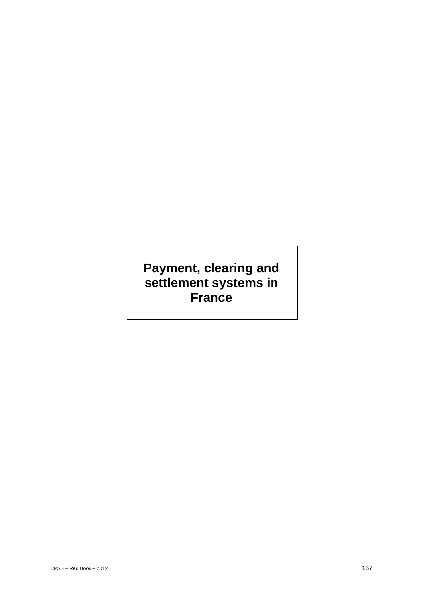# **Payment, clearing and settlement systems in France**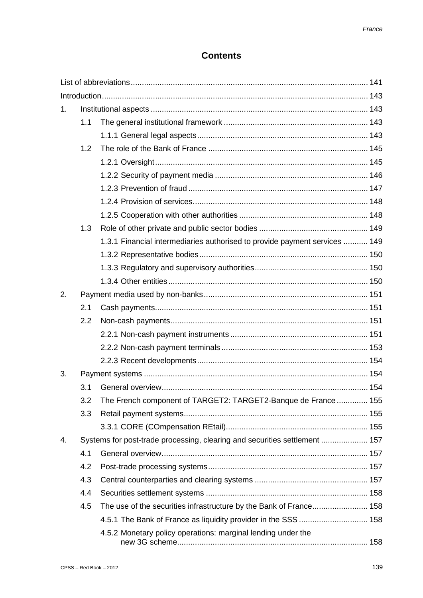# **Contents**

| 1. |                                                                            |                                                                            |  |  |
|----|----------------------------------------------------------------------------|----------------------------------------------------------------------------|--|--|
|    | 1.1                                                                        |                                                                            |  |  |
|    |                                                                            |                                                                            |  |  |
|    | 1.2                                                                        |                                                                            |  |  |
|    |                                                                            |                                                                            |  |  |
|    |                                                                            |                                                                            |  |  |
|    |                                                                            |                                                                            |  |  |
|    |                                                                            |                                                                            |  |  |
|    |                                                                            |                                                                            |  |  |
|    | 1.3                                                                        |                                                                            |  |  |
|    |                                                                            | 1.3.1 Financial intermediaries authorised to provide payment services  149 |  |  |
|    |                                                                            |                                                                            |  |  |
|    |                                                                            |                                                                            |  |  |
|    |                                                                            |                                                                            |  |  |
| 2. |                                                                            |                                                                            |  |  |
|    | 2.1                                                                        |                                                                            |  |  |
|    | 2.2                                                                        |                                                                            |  |  |
|    |                                                                            |                                                                            |  |  |
|    |                                                                            |                                                                            |  |  |
|    |                                                                            |                                                                            |  |  |
| 3. |                                                                            |                                                                            |  |  |
|    | 3.1                                                                        |                                                                            |  |  |
|    | 3.2                                                                        | The French component of TARGET2: TARGET2-Banque de France  155             |  |  |
|    | 3.3                                                                        |                                                                            |  |  |
|    |                                                                            |                                                                            |  |  |
| 4. | Systems for post-trade processing, clearing and securities settlement  157 |                                                                            |  |  |
|    | 4.1                                                                        |                                                                            |  |  |
|    | 4.2                                                                        |                                                                            |  |  |
|    | 4.3                                                                        |                                                                            |  |  |
|    | 4.4                                                                        |                                                                            |  |  |
|    | 4.5                                                                        |                                                                            |  |  |
|    |                                                                            | 4.5.1 The Bank of France as liquidity provider in the SSS  158             |  |  |
|    |                                                                            | 4.5.2 Monetary policy operations: marginal lending under the               |  |  |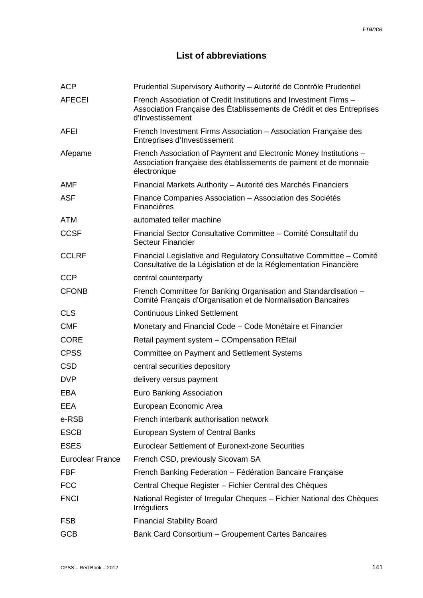# **List of abbreviations**

| <b>ACP</b>              | Prudential Supervisory Authority – Autorité de Contrôle Prudentiel                                                                                            |
|-------------------------|---------------------------------------------------------------------------------------------------------------------------------------------------------------|
| <b>AFECEI</b>           | French Association of Credit Institutions and Investment Firms -<br>Association Française des Établissements de Crédit et des Entreprises<br>d'Investissement |
| AFEI                    | French Investment Firms Association - Association Française des<br>Entreprises d'Investissement                                                               |
| Afepame                 | French Association of Payment and Electronic Money Institutions -<br>Association française des établissements de paiment et de monnaie<br>électronique        |
| <b>AMF</b>              | Financial Markets Authority – Autorité des Marchés Financiers                                                                                                 |
| <b>ASF</b>              | Finance Companies Association - Association des Sociétés<br>Financières                                                                                       |
| <b>ATM</b>              | automated teller machine                                                                                                                                      |
| <b>CCSF</b>             | Financial Sector Consultative Committee - Comité Consultatif du<br><b>Secteur Financier</b>                                                                   |
| <b>CCLRF</b>            | Financial Legislative and Regulatory Consultative Committee – Comité<br>Consultative de la Législation et de la Réglementation Financière                     |
| <b>CCP</b>              | central counterparty                                                                                                                                          |
| <b>CFONB</b>            | French Committee for Banking Organisation and Standardisation -<br>Comité Français d'Organisation et de Normalisation Bancaires                               |
| <b>CLS</b>              | <b>Continuous Linked Settlement</b>                                                                                                                           |
| <b>CMF</b>              | Monetary and Financial Code – Code Monétaire et Financier                                                                                                     |
| <b>CORE</b>             | Retail payment system - COmpensation REtail                                                                                                                   |
| <b>CPSS</b>             | <b>Committee on Payment and Settlement Systems</b>                                                                                                            |
| <b>CSD</b>              | central securities depository                                                                                                                                 |
| <b>DVP</b>              | delivery versus payment                                                                                                                                       |
| <b>EBA</b>              | <b>Euro Banking Association</b>                                                                                                                               |
| EEA                     | European Economic Area                                                                                                                                        |
| e-RSB                   | French interbank authorisation network                                                                                                                        |
| <b>ESCB</b>             | European System of Central Banks                                                                                                                              |
| <b>ESES</b>             | <b>Euroclear Settlement of Euronext-zone Securities</b>                                                                                                       |
| <b>Euroclear France</b> | French CSD, previously Sicovam SA                                                                                                                             |
| <b>FBF</b>              | French Banking Federation - Fédération Bancaire Française                                                                                                     |
| <b>FCC</b>              | Central Cheque Register - Fichier Central des Chèques                                                                                                         |
| <b>FNCI</b>             | National Register of Irregular Cheques – Fichier National des Chèques<br>Irréguliers                                                                          |
| <b>FSB</b>              | <b>Financial Stability Board</b>                                                                                                                              |
| <b>GCB</b>              | Bank Card Consortium - Groupement Cartes Bancaires                                                                                                            |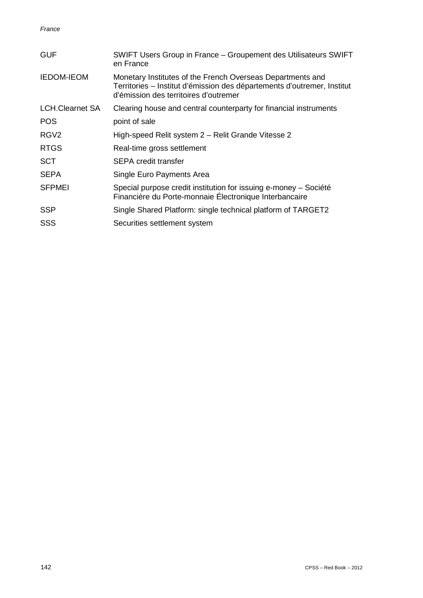| <b>GUF</b>             | SWIFT Users Group in France – Groupement des Utilisateurs SWIFT<br>en France                                                                                                   |
|------------------------|--------------------------------------------------------------------------------------------------------------------------------------------------------------------------------|
| <b>IEDOM-IEOM</b>      | Monetary Institutes of the French Overseas Departments and<br>Territories – Institut d'émission des départements d'outremer, Institut<br>d'émission des territoires d'outremer |
| <b>LCH.Clearnet SA</b> | Clearing house and central counterparty for financial instruments                                                                                                              |
| <b>POS</b>             | point of sale                                                                                                                                                                  |
| RGV <sub>2</sub>       | High-speed Relit system 2 - Relit Grande Vitesse 2                                                                                                                             |
| <b>RTGS</b>            | Real-time gross settlement                                                                                                                                                     |
| <b>SCT</b>             | <b>SEPA credit transfer</b>                                                                                                                                                    |
| <b>SEPA</b>            | Single Euro Payments Area                                                                                                                                                      |
| <b>SFPMEI</b>          | Special purpose credit institution for issuing e-money - Société<br>Financière du Porte-monnaie Électronique Interbancaire                                                     |
| <b>SSP</b>             | Single Shared Platform: single technical platform of TARGET2                                                                                                                   |
| <b>SSS</b>             | Securities settlement system                                                                                                                                                   |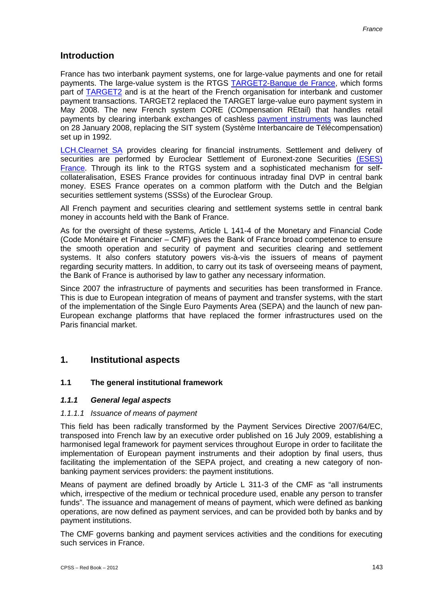# **Introduction**

France has two interbank payment systems, one for large-value payments and one for retail payments. The large-value system is the RTGS TARGET2-Banque de France, which forms part of TARGET2 and is at the heart of the French organisation for interbank and customer payment transactions. TARGET2 replaced the TARGET large-value euro payment system in May 2008. The new French system CORE (COmpensation REtail) that handles retail payments by clearing interbank exchanges of cashless payment instruments was launched on 28 January 2008, replacing the SIT system (Système Interbancaire de Télécompensation) set up in 1992.

LCH.Clearnet SA provides clearing for financial instruments. Settlement and delivery of securities are performed by Euroclear Settlement of Euronext-zone Securities (ESES) France. Through its link to the RTGS system and a sophisticated mechanism for selfcollateralisation, ESES France provides for continuous intraday final DVP in central bank money. ESES France operates on a common platform with the Dutch and the Belgian securities settlement systems (SSSs) of the Euroclear Group.

All French payment and securities clearing and settlement systems settle in central bank money in accounts held with the Bank of France.

As for the oversight of these systems, Article L 141-4 of the Monetary and Financial Code (Code Monétaire et Financier – CMF) gives the Bank of France broad competence to ensure the smooth operation and security of payment and securities clearing and settlement systems. It also confers statutory powers vis-à-vis the issuers of means of payment regarding security matters. In addition, to carry out its task of overseeing means of payment, the Bank of France is authorised by law to gather any necessary information.

Since 2007 the infrastructure of payments and securities has been transformed in France. This is due to European integration of means of payment and transfer systems, with the start of the implementation of the Single Euro Payments Area (SEPA) and the launch of new pan-European exchange platforms that have replaced the former infrastructures used on the Paris financial market.

# **1. Institutional aspects**

## **1.1 The general institutional framework**

## *1.1.1 General legal aspects*

## *1.1.1.1 Issuance of means of payment*

This field has been radically transformed by the Payment Services Directive 2007/64/EC, transposed into French law by an executive order published on 16 July 2009, establishing a harmonised legal framework for payment services throughout Europe in order to facilitate the implementation of European payment instruments and their adoption by final users, thus facilitating the implementation of the SEPA project, and creating a new category of nonbanking payment services providers: the payment institutions.

Means of payment are defined broadly by Article L 311-3 of the CMF as "all instruments which, irrespective of the medium or technical procedure used, enable any person to transfer funds". The issuance and management of means of payment, which were defined as banking operations, are now defined as payment services, and can be provided both by banks and by payment institutions.

The CMF governs banking and payment services activities and the conditions for executing such services in France.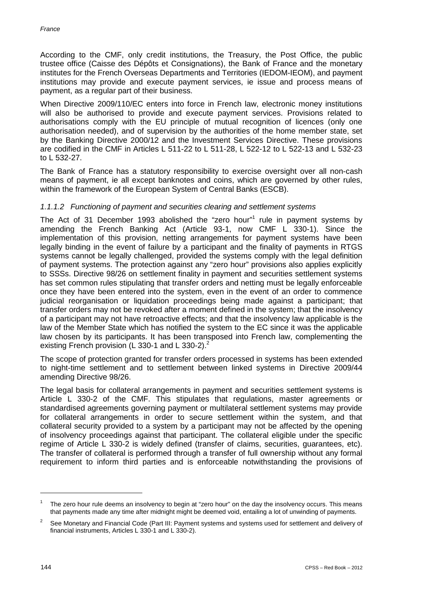According to the CMF, only credit institutions, the Treasury, the Post Office, the public trustee office (Caisse des Dépôts et Consignations), the Bank of France and the monetary institutes for the French Overseas Departments and Territories (IEDOM-IEOM), and payment institutions may provide and execute payment services, ie issue and process means of payment, as a regular part of their business.

When Directive 2009/110/EC enters into force in French law, electronic money institutions will also be authorised to provide and execute payment services. Provisions related to authorisations comply with the EU principle of mutual recognition of licences (only one authorisation needed), and of supervision by the authorities of the home member state, set by the Banking Directive 2000/12 and the Investment Services Directive. These provisions are codified in the CMF in Articles L 511-22 to L 511-28, L 522-12 to L 522-13 and L 532-23 to L 532-27.

The Bank of France has a statutory responsibility to exercise oversight over all non-cash means of payment, ie all except banknotes and coins, which are governed by other rules, within the framework of the European System of Central Banks (ESCB).

## *1.1.1.2 Functioning of payment and securities clearing and settlement systems*

The Act of 31 December 1993 abolished the "zero hour"<sup>1</sup> rule in payment systems by amending the French Banking Act (Article 93-1, now CMF L 330-1). Since the implementation of this provision, netting arrangements for payment systems have been legally binding in the event of failure by a participant and the finality of payments in RTGS systems cannot be legally challenged, provided the systems comply with the legal definition of payment systems. The protection against any "zero hour" provisions also applies explicitly to SSSs. Directive 98/26 on settlement finality in payment and securities settlement systems has set common rules stipulating that transfer orders and netting must be legally enforceable once they have been entered into the system, even in the event of an order to commence judicial reorganisation or liquidation proceedings being made against a participant; that transfer orders may not be revoked after a moment defined in the system; that the insolvency of a participant may not have retroactive effects; and that the insolvency law applicable is the law of the Member State which has notified the system to the EC since it was the applicable law chosen by its participants. It has been transposed into French law, complementing the existing French provision (L 330-1 and L 330-2).<sup>2</sup>

The scope of protection granted for transfer orders processed in systems has been extended to night-time settlement and to settlement between linked systems in Directive 2009/44 amending Directive 98/26.

The legal basis for collateral arrangements in payment and securities settlement systems is Article L 330-2 of the CMF. This stipulates that regulations, master agreements or standardised agreements governing payment or multilateral settlement systems may provide for collateral arrangements in order to secure settlement within the system, and that collateral security provided to a system by a participant may not be affected by the opening of insolvency proceedings against that participant. The collateral eligible under the specific regime of Article L 330-2 is widely defined (transfer of claims, securities, guarantees, etc). The transfer of collateral is performed through a transfer of full ownership without any formal requirement to inform third parties and is enforceable notwithstanding the provisions of

The zero hour rule deems an insolvency to begin at "zero hour" on the day the insolvency occurs. This means that payments made any time after midnight might be deemed void, entailing a lot of unwinding of payments.

<sup>2</sup> See Monetary and Financial Code (Part III: Payment systems and systems used for settlement and delivery of financial instruments, Articles L 330-1 and L 330-2).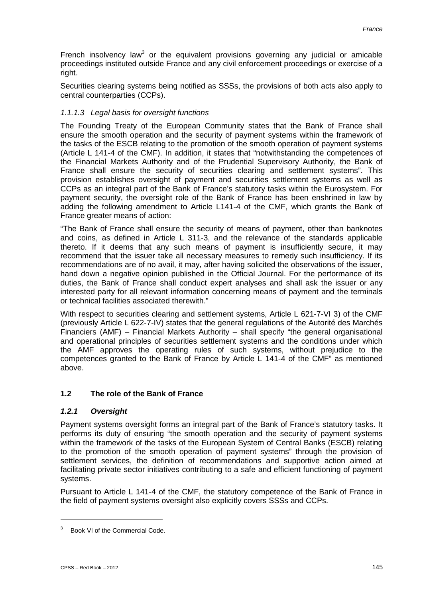French insolvency law<sup>3</sup> or the equivalent provisions governing any judicial or amicable proceedings instituted outside France and any civil enforcement proceedings or exercise of a right.

Securities clearing systems being notified as SSSs, the provisions of both acts also apply to central counterparties (CCPs).

## *1.1.1.3 Legal basis for oversight functions*

The Founding Treaty of the European Community states that the Bank of France shall ensure the smooth operation and the security of payment systems within the framework of the tasks of the ESCB relating to the promotion of the smooth operation of payment systems (Article L 141-4 of the CMF). In addition, it states that "notwithstanding the competences of the Financial Markets Authority and of the Prudential Supervisory Authority, the Bank of France shall ensure the security of securities clearing and settlement systems". This provision establishes oversight of payment and securities settlement systems as well as CCPs as an integral part of the Bank of France's statutory tasks within the Eurosystem. For payment security, the oversight role of the Bank of France has been enshrined in law by adding the following amendment to Article L141-4 of the CMF, which grants the Bank of France greater means of action:

"The Bank of France shall ensure the security of means of payment, other than banknotes and coins, as defined in Article L 311-3, and the relevance of the standards applicable thereto. If it deems that any such means of payment is insufficiently secure, it may recommend that the issuer take all necessary measures to remedy such insufficiency. If its recommendations are of no avail, it may, after having solicited the observations of the issuer, hand down a negative opinion published in the Official Journal. For the performance of its duties, the Bank of France shall conduct expert analyses and shall ask the issuer or any interested party for all relevant information concerning means of payment and the terminals or technical facilities associated therewith."

With respect to securities clearing and settlement systems, Article L 621-7-VI 3) of the CMF (previously Article L 622-7-IV) states that the general regulations of the Autorité des Marchés Financiers (AMF) – Financial Markets Authority – shall specify "the general organisational and operational principles of securities settlement systems and the conditions under which the AMF approves the operating rules of such systems, without prejudice to the competences granted to the Bank of France by Article L 141-4 of the CMF" as mentioned above.

## **1.2 The role of the Bank of France**

## *1.2.1 Oversight*

Payment systems oversight forms an integral part of the Bank of France's statutory tasks. It performs its duty of ensuring "the smooth operation and the security of payment systems within the framework of the tasks of the European System of Central Banks (ESCB) relating to the promotion of the smooth operation of payment systems" through the provision of settlement services, the definition of recommendations and supportive action aimed at facilitating private sector initiatives contributing to a safe and efficient functioning of payment systems.

Pursuant to Article L 141-4 of the CMF, the statutory competence of the Bank of France in the field of payment systems oversight also explicitly covers SSSs and CCPs.

<sup>&</sup>lt;sup>3</sup> Book VI of the Commercial Code.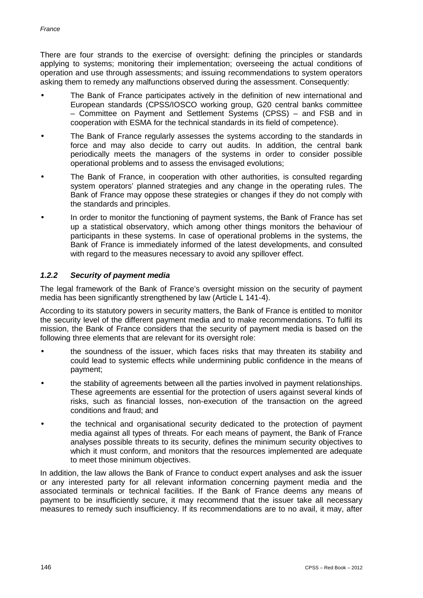There are four strands to the exercise of oversight: defining the principles or standards applying to systems; monitoring their implementation; overseeing the actual conditions of operation and use through assessments; and issuing recommendations to system operators asking them to remedy any malfunctions observed during the assessment. Consequently:

- The Bank of France participates actively in the definition of new international and European standards (CPSS/IOSCO working group, G20 central banks committee – Committee on Payment and Settlement Systems (CPSS) – and FSB and in cooperation with ESMA for the technical standards in its field of competence).
- The Bank of France regularly assesses the systems according to the standards in force and may also decide to carry out audits. In addition, the central bank periodically meets the managers of the systems in order to consider possible operational problems and to assess the envisaged evolutions;
- The Bank of France, in cooperation with other authorities, is consulted regarding system operators' planned strategies and any change in the operating rules. The Bank of France may oppose these strategies or changes if they do not comply with the standards and principles.
- In order to monitor the functioning of payment systems, the Bank of France has set up a statistical observatory, which among other things monitors the behaviour of participants in these systems. In case of operational problems in the systems, the Bank of France is immediately informed of the latest developments, and consulted with regard to the measures necessary to avoid any spillover effect.

## *1.2.2 Security of payment media*

The legal framework of the Bank of France's oversight mission on the security of payment media has been significantly strengthened by law (Article L 141-4).

According to its statutory powers in security matters, the Bank of France is entitled to monitor the security level of the different payment media and to make recommendations. To fulfil its mission, the Bank of France considers that the security of payment media is based on the following three elements that are relevant for its oversight role:

- the soundness of the issuer, which faces risks that may threaten its stability and could lead to systemic effects while undermining public confidence in the means of payment;
- the stability of agreements between all the parties involved in payment relationships. These agreements are essential for the protection of users against several kinds of risks, such as financial losses, non-execution of the transaction on the agreed conditions and fraud; and
- the technical and organisational security dedicated to the protection of payment media against all types of threats. For each means of payment, the Bank of France analyses possible threats to its security, defines the minimum security objectives to which it must conform, and monitors that the resources implemented are adequate to meet those minimum objectives.

In addition, the law allows the Bank of France to conduct expert analyses and ask the issuer or any interested party for all relevant information concerning payment media and the associated terminals or technical facilities. If the Bank of France deems any means of payment to be insufficiently secure, it may recommend that the issuer take all necessary measures to remedy such insufficiency. If its recommendations are to no avail, it may, after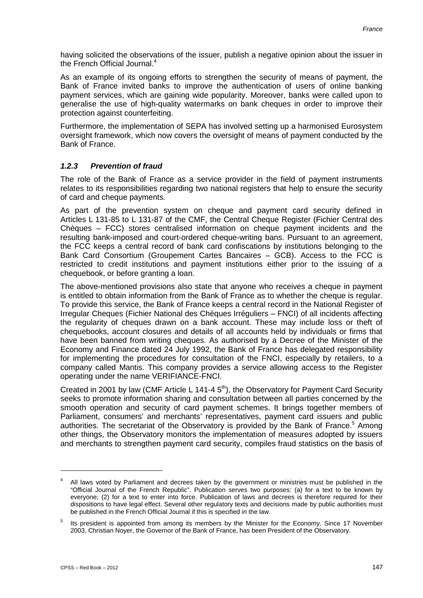having solicited the observations of the issuer, publish a negative opinion about the issuer in the French Official Journal. 4

As an example of its ongoing efforts to strengthen the security of means of payment, the Bank of France invited banks to improve the authentication of users of online banking payment services, which are gaining wide popularity. Moreover, banks were called upon to generalise the use of high-quality watermarks on bank cheques in order to improve their protection against counterfeiting.

Furthermore, the implementation of SEPA has involved setting up a harmonised Eurosystem oversight framework, which now covers the oversight of means of payment conducted by the Bank of France.

## *1.2.3 Prevention of fraud*

The role of the Bank of France as a service provider in the field of payment instruments relates to its responsibilities regarding two national registers that help to ensure the security of card and cheque payments.

As part of the prevention system on cheque and payment card security defined in Articles L 131-85 to L 131-87 of the CMF, the Central Cheque Register (Fichier Central des Chèques – FCC) stores centralised information on cheque payment incidents and the resulting bank-imposed and court-ordered cheque-writing bans. Pursuant to an agreement, the FCC keeps a central record of bank card confiscations by institutions belonging to the Bank Card Consortium (Groupement Cartes Bancaires – GCB). Access to the FCC is restricted to credit institutions and payment institutions either prior to the issuing of a chequebook, or before granting a loan.

The above-mentioned provisions also state that anyone who receives a cheque in payment is entitled to obtain information from the Bank of France as to whether the cheque is regular. To provide this service, the Bank of France keeps a central record in the National Register of Irregular Cheques (Fichier National des Chèques Irréguliers – FNCI) of all incidents affecting the regularity of cheques drawn on a bank account. These may include loss or theft of chequebooks, account closures and details of all accounts held by individuals or firms that have been banned from writing cheques. As authorised by a Decree of the Minister of the Economy and Finance dated 24 July 1992, the Bank of France has delegated responsibility for implementing the procedures for consultation of the FNCI, especially by retailers, to a company called Mantis. This company provides a service allowing access to the Register operating under the name VERIFIANCE-FNCI.

Created in 2001 by law (CMF Article L 141-4  $5<sup>th</sup>$ ), the Observatory for Payment Card Security seeks to promote information sharing and consultation between all parties concerned by the smooth operation and security of card payment schemes. It brings together members of Parliament, consumers' and merchants' representatives, payment card issuers and public authorities. The secretariat of the Observatory is provided by the Bank of France.<sup>5</sup> Among other things, the Observatory monitors the implementation of measures adopted by issuers and merchants to strengthen payment card security, compiles fraud statistics on the basis of

<sup>&</sup>lt;sup>4</sup> All laws voted by Parliament and decrees taken by the government or ministries must be published in the "Official Journal of the French Republic". Publication serves two purposes: (a) for a text to be known by everyone; (2) for a text to enter into force. Publication of laws and decrees is therefore required for their dispositions to have legal effect. Several other regulatory texts and decisions made by public authorities must be published in the French Official Journal if this is specified in the law.

<sup>&</sup>lt;sup>5</sup> Its president is appointed from among its members by the Minister for the Economy. Since 17 November 2003, Christian Noyer, the Governor of the Bank of France, has been President of the Observatory.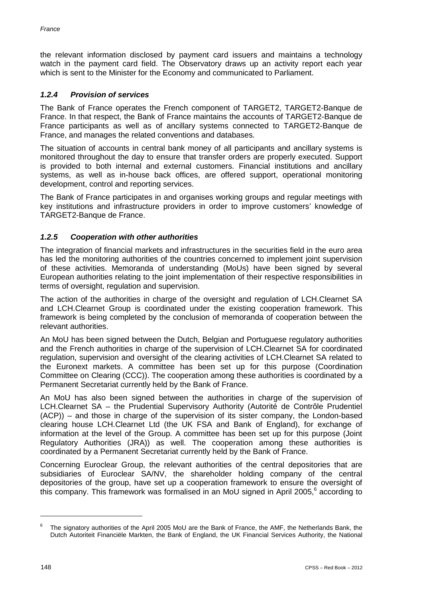the relevant information disclosed by payment card issuers and maintains a technology watch in the payment card field. The Observatory draws up an activity report each vear which is sent to the Minister for the Economy and communicated to Parliament.

## *1.2.4 Provision of services*

The Bank of France operates the French component of TARGET2, TARGET2-Banque de France. In that respect, the Bank of France maintains the accounts of TARGET2-Banque de France participants as well as of ancillary systems connected to TARGET2-Banque de France, and manages the related conventions and databases.

The situation of accounts in central bank money of all participants and ancillary systems is monitored throughout the day to ensure that transfer orders are properly executed. Support is provided to both internal and external customers. Financial institutions and ancillary systems, as well as in-house back offices, are offered support, operational monitoring development, control and reporting services.

The Bank of France participates in and organises working groups and regular meetings with key institutions and infrastructure providers in order to improve customers' knowledge of TARGET2-Banque de France.

# *1.2.5 Cooperation with other authorities*

The integration of financial markets and infrastructures in the securities field in the euro area has led the monitoring authorities of the countries concerned to implement joint supervision of these activities. Memoranda of understanding (MoUs) have been signed by several European authorities relating to the joint implementation of their respective responsibilities in terms of oversight, regulation and supervision.

The action of the authorities in charge of the oversight and regulation of LCH.Clearnet SA and LCH.Clearnet Group is coordinated under the existing cooperation framework. This framework is being completed by the conclusion of memoranda of cooperation between the relevant authorities.

An MoU has been signed between the Dutch, Belgian and Portuguese regulatory authorities and the French authorities in charge of the supervision of LCH.Clearnet SA for coordinated regulation, supervision and oversight of the clearing activities of LCH.Clearnet SA related to the Euronext markets. A committee has been set up for this purpose (Coordination Committee on Clearing (CCC)). The cooperation among these authorities is coordinated by a Permanent Secretariat currently held by the Bank of France.

An MoU has also been signed between the authorities in charge of the supervision of LCH.Clearnet SA – the Prudential Supervisory Authority (Autorité de Contrôle Prudentiel (ACP)) – and those in charge of the supervision of its sister company, the London-based clearing house LCH.Clearnet Ltd (the UK FSA and Bank of England), for exchange of information at the level of the Group. A committee has been set up for this purpose (Joint Regulatory Authorities (JRA)) as well. The cooperation among these authorities is coordinated by a Permanent Secretariat currently held by the Bank of France.

Concerning Euroclear Group, the relevant authorities of the central depositories that are subsidiaries of Euroclear SA/NV, the shareholder holding company of the central depositories of the group, have set up a cooperation framework to ensure the oversight of this company. This framework was formalised in an MoU signed in April 2005, <sup>6</sup> according to

The signatory authorities of the April 2005 MoU are the Bank of France, the AMF, the Netherlands Bank, the Dutch Autoriteit Financiële Markten, the Bank of England, the UK Financial Services Authority, the National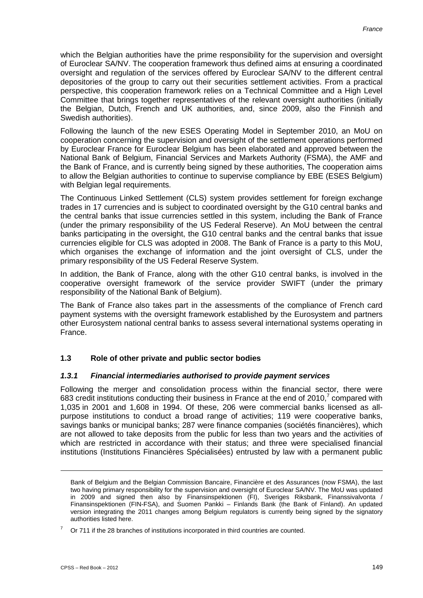which the Belgian authorities have the prime responsibility for the supervision and oversight of Euroclear SA/NV. The cooperation framework thus defined aims at ensuring a coordinated oversight and regulation of the services offered by Euroclear SA/NV to the different central depositories of the group to carry out their securities settlement activities. From a practical perspective, this cooperation framework relies on a Technical Committee and a High Level Committee that brings together representatives of the relevant oversight authorities (initially the Belgian, Dutch, French and UK authorities, and, since 2009, also the Finnish and Swedish authorities).

Following the launch of the new ESES Operating Model in September 2010, an MoU on cooperation concerning the supervision and oversight of the settlement operations performed by Euroclear France for Euroclear Belgium has been elaborated and approved between the National Bank of Belgium, Financial Services and Markets Authority (FSMA), the AMF and the Bank of France, and is currently being signed by these authorities, The cooperation aims to allow the Belgian authorities to continue to supervise compliance by EBE (ESES Belgium) with Belgian legal requirements.

The Continuous Linked Settlement (CLS) system provides settlement for foreign exchange trades in 17 currencies and is subject to coordinated oversight by the G10 central banks and the central banks that issue currencies settled in this system, including the Bank of France (under the primary responsibility of the US Federal Reserve). An MoU between the central banks participating in the oversight, the G10 central banks and the central banks that issue currencies eligible for CLS was adopted in 2008. The Bank of France is a party to this MoU, which organises the exchange of information and the joint oversight of CLS, under the primary responsibility of the US Federal Reserve System.

In addition, the Bank of France, along with the other G10 central banks, is involved in the cooperative oversight framework of the service provider SWIFT (under the primary responsibility of the National Bank of Belgium).

The Bank of France also takes part in the assessments of the compliance of French card payment systems with the oversight framework established by the Eurosystem and partners other Eurosystem national central banks to assess several international systems operating in France.

## **1.3 Role of other private and public sector bodies**

## *1.3.1 Financial intermediaries authorised to provide payment services*

Following the merger and consolidation process within the financial sector, there were 683 credit institutions conducting their business in France at the end of 2010,<sup>7</sup> compared with 1,035 in 2001 and 1,608 in 1994. Of these, 206 were commercial banks licensed as allpurpose institutions to conduct a broad range of activities; 119 were cooperative banks, savings banks or municipal banks; 287 were finance companies (sociétés financières), which are not allowed to take deposits from the public for less than two years and the activities of which are restricted in accordance with their status; and three were specialised financial institutions (Institutions Financières Spécialisées) entrusted by law with a permanent public

Bank of Belgium and the Belgian Commission Bancaire, Financière et des Assurances (now FSMA), the last two having primary responsibility for the supervision and oversight of Euroclear SA/NV. The MoU was updated in 2009 and signed then also by Finansinspektionen (FI), Sveriges Riksbank, Finanssivalvonta / Finansinspektionen (FIN-FSA), and Suomen Pankki – Finlands Bank (the Bank of Finland). An updated version integrating the 2011 changes among Belgium regulators is currently being signed by the signatory authorities listed here.

 $7$  Or 711 if the 28 branches of institutions incorporated in third countries are counted.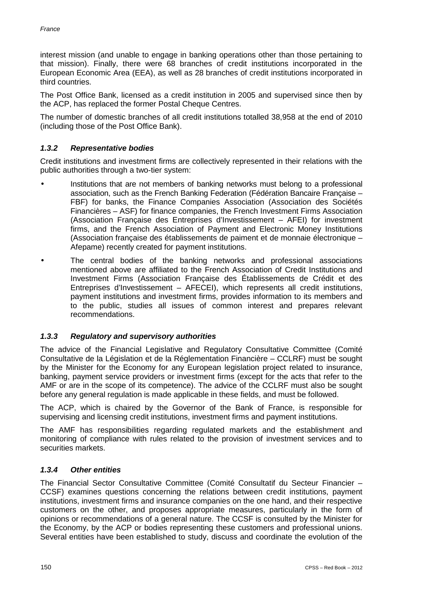interest mission (and unable to engage in banking operations other than those pertaining to that mission). Finally, there were 68 branches of credit institutions incorporated in the European Economic Area (EEA), as well as 28 branches of credit institutions incorporated in third countries.

The Post Office Bank, licensed as a credit institution in 2005 and supervised since then by the ACP, has replaced the former Postal Cheque Centres.

The number of domestic branches of all credit institutions totalled 38,958 at the end of 2010 (including those of the Post Office Bank).

## *1.3.2 Representative bodies*

Credit institutions and investment firms are collectively represented in their relations with the public authorities through a two-tier system:

- Institutions that are not members of banking networks must belong to a professional association, such as the French Banking Federation (Fédération Bancaire Française – FBF) for banks, the Finance Companies Association (Association des Sociétés Financières – ASF) for finance companies, the French Investment Firms Association (Association Française des Entreprises d'Investissement – AFEI) for investment firms, and the French Association of Payment and Electronic Money Institutions (Association française des établissements de paiment et de monnaie électronique – Afepame) recently created for payment institutions.
	- The central bodies of the banking networks and professional associations mentioned above are affiliated to the French Association of Credit Institutions and Investment Firms (Association Française des Établissements de Crédit et des Entreprises d'Investissement – AFECEI), which represents all credit institutions, payment institutions and investment firms, provides information to its members and to the public, studies all issues of common interest and prepares relevant recommendations.

## *1.3.3 Regulatory and supervisory authorities*

The advice of the Financial Legislative and Regulatory Consultative Committee (Comité Consultative de la Législation et de la Réglementation Financière – CCLRF) must be sought by the Minister for the Economy for any European legislation project related to insurance, banking, payment service providers or investment firms (except for the acts that refer to the AMF or are in the scope of its competence). The advice of the CCLRF must also be sought before any general regulation is made applicable in these fields, and must be followed.

The ACP, which is chaired by the Governor of the Bank of France, is responsible for supervising and licensing credit institutions, investment firms and payment institutions.

The AMF has responsibilities regarding regulated markets and the establishment and monitoring of compliance with rules related to the provision of investment services and to securities markets.

## *1.3.4 Other entities*

The Financial Sector Consultative Committee (Comité Consultatif du Secteur Financier – CCSF) examines questions concerning the relations between credit institutions, payment institutions, investment firms and insurance companies on the one hand, and their respective customers on the other, and proposes appropriate measures, particularly in the form of opinions or recommendations of a general nature. The CCSF is consulted by the Minister for the Economy, by the ACP or bodies representing these customers and professional unions. Several entities have been established to study, discuss and coordinate the evolution of the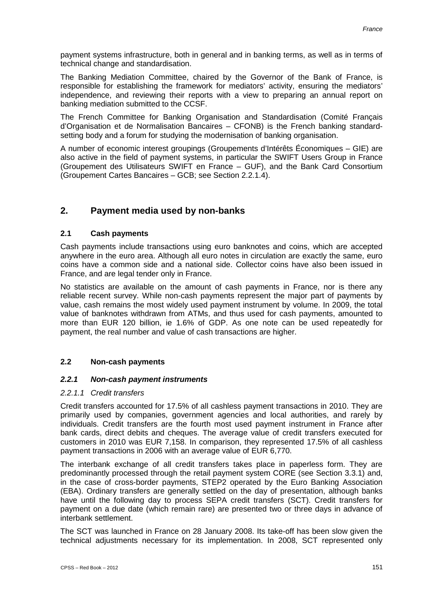payment systems infrastructure, both in general and in banking terms, as well as in terms of technical change and standardisation.

The Banking Mediation Committee, chaired by the Governor of the Bank of France, is responsible for establishing the framework for mediators' activity, ensuring the mediators' independence, and reviewing their reports with a view to preparing an annual report on banking mediation submitted to the CCSF.

The French Committee for Banking Organisation and Standardisation (Comité Français d'Organisation et de Normalisation Bancaires – CFONB) is the French banking standardsetting body and a forum for studying the modernisation of banking organisation.

A number of economic interest groupings (Groupements d'Intérêts Économiques – GIE) are also active in the field of payment systems, in particular the SWIFT Users Group in France (Groupement des Utilisateurs SWIFT en France – GUF), and the Bank Card Consortium (Groupement Cartes Bancaires – GCB; see Section 2.2.1.4).

# **2. Payment media used by non-banks**

## **2.1 Cash payments**

Cash payments include transactions using euro banknotes and coins, which are accepted anywhere in the euro area. Although all euro notes in circulation are exactly the same, euro coins have a common side and a national side. Collector coins have also been issued in France, and are legal tender only in France.

No statistics are available on the amount of cash payments in France, nor is there any reliable recent survey. While non-cash payments represent the major part of payments by value, cash remains the most widely used payment instrument by volume. In 2009, the total value of banknotes withdrawn from ATMs, and thus used for cash payments, amounted to more than EUR 120 billion, ie 1.6% of GDP. As one note can be used repeatedly for payment, the real number and value of cash transactions are higher.

## **2.2 Non-cash payments**

## *2.2.1 Non-cash payment instruments*

#### *2.2.1.1 Credit transfers*

Credit transfers accounted for 17.5% of all cashless payment transactions in 2010. They are primarily used by companies, government agencies and local authorities, and rarely by individuals. Credit transfers are the fourth most used payment instrument in France after bank cards, direct debits and cheques. The average value of credit transfers executed for customers in 2010 was EUR 7,158. In comparison, they represented 17.5% of all cashless payment transactions in 2006 with an average value of EUR 6,770.

The interbank exchange of all credit transfers takes place in paperless form. They are predominantly processed through the retail payment system CORE (see Section 3.3.1) and, in the case of cross-border payments, STEP2 operated by the Euro Banking Association (EBA). Ordinary transfers are generally settled on the day of presentation, although banks have until the following day to process SEPA credit transfers (SCT). Credit transfers for payment on a due date (which remain rare) are presented two or three days in advance of interbank settlement.

The SCT was launched in France on 28 January 2008. Its take-off has been slow given the technical adjustments necessary for its implementation. In 2008, SCT represented only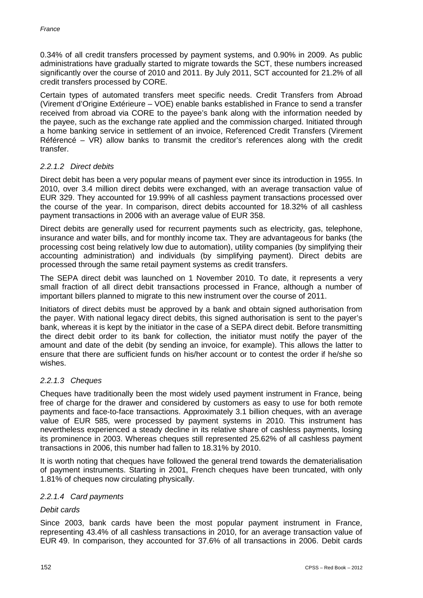0.34% of all credit transfers processed by payment systems, and 0.90% in 2009. As public administrations have gradually started to migrate towards the SCT, these numbers increased significantly over the course of 2010 and 2011. By July 2011, SCT accounted for 21.2% of all credit transfers processed by CORE.

Certain types of automated transfers meet specific needs. Credit Transfers from Abroad (Virement d'Origine Extérieure – VOE) enable banks established in France to send a transfer received from abroad via CORE to the payee's bank along with the information needed by the payee, such as the exchange rate applied and the commission charged. Initiated through a home banking service in settlement of an invoice, Referenced Credit Transfers (Virement Référencé –  $\overline{VR}$ ) allow banks to transmit the creditor's references along with the credit transfer.

#### *2.2.1.2 Direct debits*

Direct debit has been a very popular means of payment ever since its introduction in 1955. In 2010, over 3.4 million direct debits were exchanged, with an average transaction value of EUR 329. They accounted for 19.99% of all cashless payment transactions processed over the course of the year. In comparison, direct debits accounted for 18.32% of all cashless payment transactions in 2006 with an average value of EUR 358.

Direct debits are generally used for recurrent payments such as electricity, gas, telephone, insurance and water bills, and for monthly income tax. They are advantageous for banks (the processing cost being relatively low due to automation), utility companies (by simplifying their accounting administration) and individuals (by simplifying payment). Direct debits are processed through the same retail payment systems as credit transfers.

The SEPA direct debit was launched on 1 November 2010. To date, it represents a very small fraction of all direct debit transactions processed in France, although a number of important billers planned to migrate to this new instrument over the course of 2011.

Initiators of direct debits must be approved by a bank and obtain signed authorisation from the payer. With national legacy direct debits, this signed authorisation is sent to the payer's bank, whereas it is kept by the initiator in the case of a SEPA direct debit. Before transmitting the direct debit order to its bank for collection, the initiator must notify the payer of the amount and date of the debit (by sending an invoice, for example). This allows the latter to ensure that there are sufficient funds on his/her account or to contest the order if he/she so wishes.

## *2.2.1.3 Cheques*

Cheques have traditionally been the most widely used payment instrument in France, being free of charge for the drawer and considered by customers as easy to use for both remote payments and face-to-face transactions. Approximately 3.1 billion cheques, with an average value of EUR 585, were processed by payment systems in 2010. This instrument has nevertheless experienced a steady decline in its relative share of cashless payments, losing its prominence in 2003. Whereas cheques still represented 25.62% of all cashless payment transactions in 2006, this number had fallen to 18.31% by 2010.

It is worth noting that cheques have followed the general trend towards the dematerialisation of payment instruments. Starting in 2001, French cheques have been truncated, with only 1.81% of cheques now circulating physically.

#### *2.2.1.4 Card payments*

#### *Debit cards*

Since 2003, bank cards have been the most popular payment instrument in France, representing 43.4% of all cashless transactions in 2010, for an average transaction value of EUR 49. In comparison, they accounted for 37.6% of all transactions in 2006. Debit cards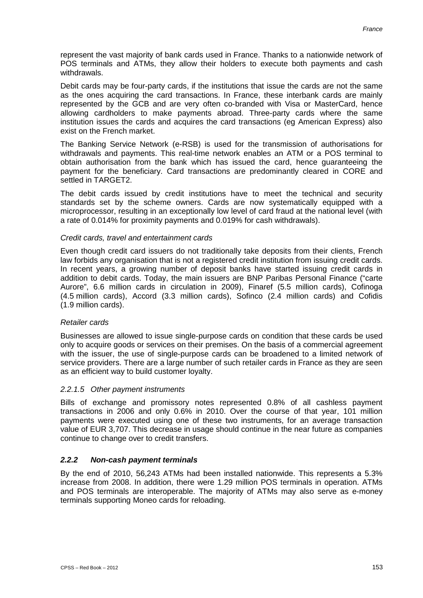represent the vast majority of bank cards used in France. Thanks to a nationwide network of POS terminals and ATMs, they allow their holders to execute both payments and cash withdrawals.

Debit cards may be four-party cards, if the institutions that issue the cards are not the same as the ones acquiring the card transactions. In France, these interbank cards are mainly represented by the GCB and are very often co-branded with Visa or MasterCard, hence allowing cardholders to make payments abroad. Three-party cards where the same institution issues the cards and acquires the card transactions (eg American Express) also exist on the French market.

The Banking Service Network (e-RSB) is used for the transmission of authorisations for withdrawals and payments. This real-time network enables an ATM or a POS terminal to obtain authorisation from the bank which has issued the card, hence guaranteeing the payment for the beneficiary. Card transactions are predominantly cleared in CORE and settled in TARGET2.

The debit cards issued by credit institutions have to meet the technical and security standards set by the scheme owners. Cards are now systematically equipped with a microprocessor, resulting in an exceptionally low level of card fraud at the national level (with a rate of 0.014% for proximity payments and 0.019% for cash withdrawals).

#### *Credit cards, travel and entertainment cards*

Even though credit card issuers do not traditionally take deposits from their clients, French law forbids any organisation that is not a registered credit institution from issuing credit cards. In recent years, a growing number of deposit banks have started issuing credit cards in addition to debit cards. Today, the main issuers are BNP Paribas Personal Finance ("carte Aurore", 6.6 million cards in circulation in 2009), Finaref (5.5 million cards), Cofinoga (4.5 million cards), Accord (3.3 million cards), Sofinco (2.4 million cards) and Cofidis (1.9 million cards).

#### *Retailer cards*

Businesses are allowed to issue single-purpose cards on condition that these cards be used only to acquire goods or services on their premises. On the basis of a commercial agreement with the issuer, the use of single-purpose cards can be broadened to a limited network of service providers. There are a large number of such retailer cards in France as they are seen as an efficient way to build customer loyalty.

## *2.2.1.5 Other payment instruments*

Bills of exchange and promissory notes represented 0.8% of all cashless payment transactions in 2006 and only 0.6% in 2010. Over the course of that year, 101 million payments were executed using one of these two instruments, for an average transaction value of EUR 3,707. This decrease in usage should continue in the near future as companies continue to change over to credit transfers.

## *2.2.2 Non-cash payment terminals*

By the end of 2010, 56,243 ATMs had been installed nationwide. This represents a 5.3% increase from 2008. In addition, there were 1.29 million POS terminals in operation. ATMs and POS terminals are interoperable. The majority of ATMs may also serve as e-money terminals supporting Moneo cards for reloading.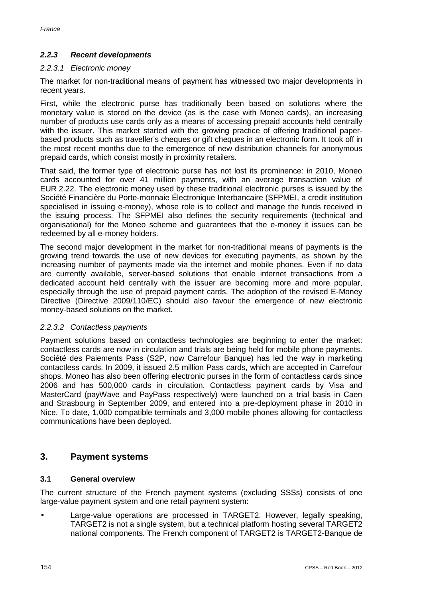## *2.2.3 Recent developments*

#### *2.2.3.1 Electronic money*

The market for non-traditional means of payment has witnessed two major developments in recent years.

First, while the electronic purse has traditionally been based on solutions where the monetary value is stored on the device (as is the case with Moneo cards), an increasing number of products use cards only as a means of accessing prepaid accounts held centrally with the issuer. This market started with the growing practice of offering traditional paperbased products such as traveller's cheques or gift cheques in an electronic form. It took off in the most recent months due to the emergence of new distribution channels for anonymous prepaid cards, which consist mostly in proximity retailers.

That said, the former type of electronic purse has not lost its prominence: in 2010, Moneo cards accounted for over 41 million payments, with an average transaction value of EUR 2.22. The electronic money used by these traditional electronic purses is issued by the Société Financière du Porte-monnaie Électronique Interbancaire (SFPMEI, a credit institution specialised in issuing e-money), whose role is to collect and manage the funds received in the issuing process. The SFPMEI also defines the security requirements (technical and organisational) for the Moneo scheme and guarantees that the e-money it issues can be redeemed by all e-money holders.

The second major development in the market for non-traditional means of payments is the growing trend towards the use of new devices for executing payments, as shown by the increasing number of payments made via the internet and mobile phones. Even if no data are currently available, server-based solutions that enable internet transactions from a dedicated account held centrally with the issuer are becoming more and more popular, especially through the use of prepaid payment cards. The adoption of the revised E-Money Directive (Directive 2009/110/EC) should also favour the emergence of new electronic money-based solutions on the market.

## *2.2.3.2 Contactless payments*

Payment solutions based on contactless technologies are beginning to enter the market: contactless cards are now in circulation and trials are being held for mobile phone payments. Société des Paiements Pass (S2P, now Carrefour Banque) has led the way in marketing contactless cards. In 2009, it issued 2.5 million Pass cards, which are accepted in Carrefour shops. Moneo has also been offering electronic purses in the form of contactless cards since 2006 and has 500,000 cards in circulation. Contactless payment cards by Visa and MasterCard (payWave and PayPass respectively) were launched on a trial basis in Caen and Strasbourg in September 2009, and entered into a pre-deployment phase in 2010 in Nice. To date, 1,000 compatible terminals and 3,000 mobile phones allowing for contactless communications have been deployed.

# **3. Payment systems**

## **3.1 General overview**

The current structure of the French payment systems (excluding SSSs) consists of one large-value payment system and one retail payment system:

Large-value operations are processed in TARGET2. However, legally speaking, TARGET2 is not a single system, but a technical platform hosting several TARGET2 national components. The French component of TARGET2 is TARGET2-Banque de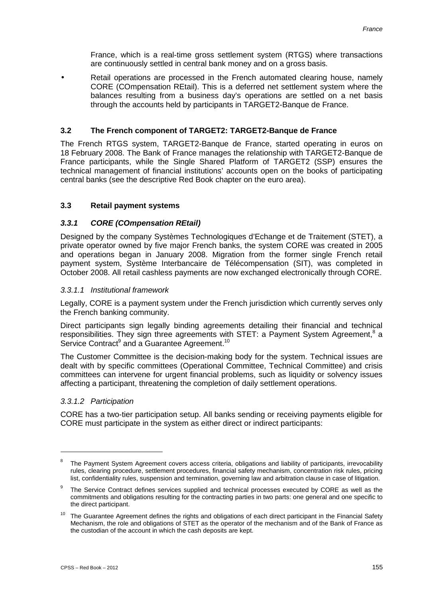France, which is a real-time gross settlement system (RTGS) where transactions are continuously settled in central bank money and on a gross basis.

Retail operations are processed in the French automated clearing house, namely CORE (COmpensation REtail). This is a deferred net settlement system where the balances resulting from a business day's operations are settled on a net basis through the accounts held by participants in TARGET2-Banque de France.

## **3.2 The French component of TARGET2: TARGET2-Banque de France**

The French RTGS system, TARGET2-Banque de France, started operating in euros on 18 February 2008. The Bank of France manages the relationship with TARGET2-Banque de France participants, while the Single Shared Platform of TARGET2 (SSP) ensures the technical management of financial institutions' accounts open on the books of participating central banks (see the descriptive Red Book chapter on the euro area).

## **3.3 Retail payment systems**

## *3.3.1 CORE (COmpensation REtail)*

Designed by the company Systèmes Technologiques d'Echange et de Traitement (STET), a private operator owned by five major French banks, the system CORE was created in 2005 and operations began in January 2008. Migration from the former single French retail payment system, Système Interbancaire de Télécompensation (SIT), was completed in October 2008. All retail cashless payments are now exchanged electronically through CORE.

## *3.3.1.1 Institutional framework*

Legally, CORE is a payment system under the French jurisdiction which currently serves only the French banking community.

Direct participants sign legally binding agreements detailing their financial and technical responsibilities. They sign three agreements with STET: a Payment System Agreement,<sup>8</sup> a Service Contract<sup>9</sup> and a Guarantee Agreement.<sup>10</sup>

The Customer Committee is the decision-making body for the system. Technical issues are dealt with by specific committees (Operational Committee, Technical Committee) and crisis committees can intervene for urgent financial problems, such as liquidity or solvency issues affecting a participant, threatening the completion of daily settlement operations.

## *3.3.1.2 Participation*

-

CORE has a two-tier participation setup. All banks sending or receiving payments eligible for CORE must participate in the system as either direct or indirect participants:

<sup>&</sup>lt;sup>8</sup> The Payment System Agreement covers access criteria, obligations and liability of participants, irrevocability rules, clearing procedure, settlement procedures, financial safety mechanism, concentration risk rules, pricing list, confidentiality rules, suspension and termination, governing law and arbitration clause in case of litigation.

<sup>&</sup>lt;sup>9</sup> The Service Contract defines services supplied and technical processes executed by CORE as well as the commitments and obligations resulting for the contracting parties in two parts: one general and one specific to the direct participant.

 $10$  The Guarantee Agreement defines the rights and obligations of each direct participant in the Financial Safety Mechanism, the role and obligations of STET as the operator of the mechanism and of the Bank of France as the custodian of the account in which the cash deposits are kept.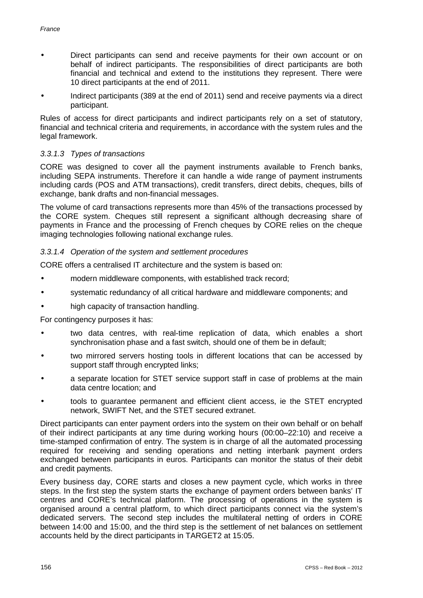- Direct participants can send and receive payments for their own account or on behalf of indirect participants. The responsibilities of direct participants are both financial and technical and extend to the institutions they represent. There were 10 direct participants at the end of 2011.
- Indirect participants (389 at the end of 2011) send and receive payments via a direct participant.

Rules of access for direct participants and indirect participants rely on a set of statutory, financial and technical criteria and requirements, in accordance with the system rules and the legal framework.

## *3.3.1.3 Types of transactions*

CORE was designed to cover all the payment instruments available to French banks, including SEPA instruments. Therefore it can handle a wide range of payment instruments including cards (POS and ATM transactions), credit transfers, direct debits, cheques, bills of exchange, bank drafts and non-financial messages.

The volume of card transactions represents more than 45% of the transactions processed by the CORE system. Cheques still represent a significant although decreasing share of payments in France and the processing of French cheques by CORE relies on the cheque imaging technologies following national exchange rules.

## *3.3.1.4 Operation of the system and settlement procedures*

CORE offers a centralised IT architecture and the system is based on:

- modern middleware components, with established track record;
- systematic redundancy of all critical hardware and middleware components; and
- high capacity of transaction handling.

For contingency purposes it has:

- two data centres, with real-time replication of data, which enables a short synchronisation phase and a fast switch, should one of them be in default;
- two mirrored servers hosting tools in different locations that can be accessed by support staff through encrypted links;
- a separate location for STET service support staff in case of problems at the main data centre location; and
- tools to guarantee permanent and efficient client access, ie the STET encrypted network, SWIFT Net, and the STET secured extranet.

Direct participants can enter payment orders into the system on their own behalf or on behalf of their indirect participants at any time during working hours (00:00–22:10) and receive a time-stamped confirmation of entry. The system is in charge of all the automated processing required for receiving and sending operations and netting interbank payment orders exchanged between participants in euros. Participants can monitor the status of their debit and credit payments.

Every business day, CORE starts and closes a new payment cycle, which works in three steps. In the first step the system starts the exchange of payment orders between banks' IT centres and CORE's technical platform. The processing of operations in the system is organised around a central platform, to which direct participants connect via the system's dedicated servers. The second step includes the multilateral netting of orders in CORE between 14:00 and 15:00, and the third step is the settlement of net balances on settlement accounts held by the direct participants in TARGET2 at 15:05.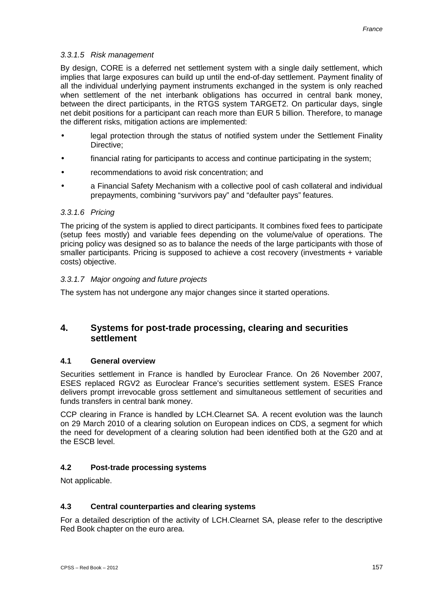### *3.3.1.5 Risk management*

By design, CORE is a deferred net settlement system with a single daily settlement, which implies that large exposures can build up until the end-of-day settlement. Payment finality of all the individual underlying payment instruments exchanged in the system is only reached when settlement of the net interbank obligations has occurred in central bank money, between the direct participants, in the RTGS system TARGET2. On particular days, single net debit positions for a participant can reach more than EUR 5 billion. Therefore, to manage the different risks, mitigation actions are implemented:

- legal protection through the status of notified system under the Settlement Finality Directive;
- financial rating for participants to access and continue participating in the system;
- recommendations to avoid risk concentration; and
- a Financial Safety Mechanism with a collective pool of cash collateral and individual prepayments, combining "survivors pay" and "defaulter pays" features.

#### *3.3.1.6 Pricing*

The pricing of the system is applied to direct participants. It combines fixed fees to participate (setup fees mostly) and variable fees depending on the volume/value of operations. The pricing policy was designed so as to balance the needs of the large participants with those of smaller participants. Pricing is supposed to achieve a cost recovery (investments + variable costs) objective.

#### *3.3.1.7 Major ongoing and future projects*

The system has not undergone any major changes since it started operations.

# **4. Systems for post-trade processing, clearing and securities settlement**

#### **4.1 General overview**

Securities settlement in France is handled by Euroclear France. On 26 November 2007, ESES replaced RGV2 as Euroclear France's securities settlement system. ESES France delivers prompt irrevocable gross settlement and simultaneous settlement of securities and funds transfers in central bank money.

CCP clearing in France is handled by LCH.Clearnet SA. A recent evolution was the launch on 29 March 2010 of a clearing solution on European indices on CDS, a segment for which the need for development of a clearing solution had been identified both at the G20 and at the ESCB level.

## **4.2 Post-trade processing systems**

Not applicable.

#### **4.3 Central counterparties and clearing systems**

For a detailed description of the activity of LCH.Clearnet SA, please refer to the descriptive Red Book chapter on the euro area.